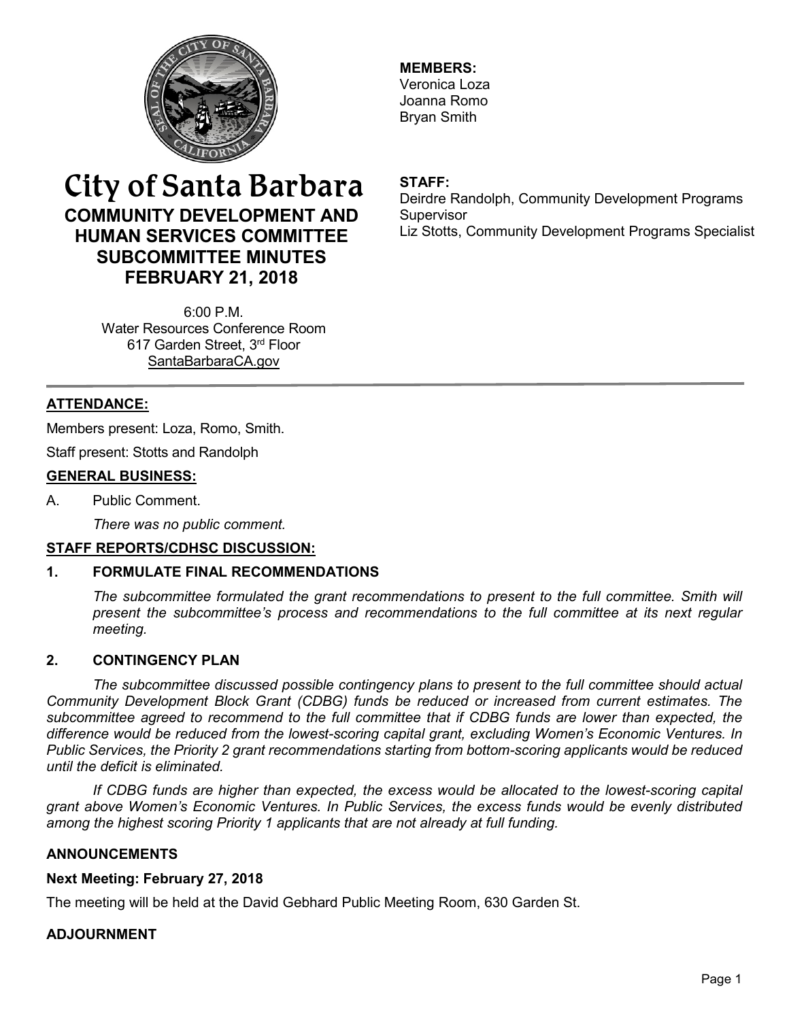

**MEMBERS:** Veronica Loza Joanna Romo Bryan Smith

# City of Santa Barbara **COMMUNITY DEVELOPMENT AND HUMAN SERVICES COMMITTEE SUBCOMMITTEE MINUTES FEBRUARY 21, 2018**

**STAFF:**

Deirdre Randolph, Community Development Programs **Supervisor** Liz Stotts, Community Development Programs Specialist

6:00 P.M. Water Resources Conference Room 617 Garden Street, 3rd Floor [SantaBarbaraCA.gov](http://www.santabarbaraca.gov/)

# **ATTENDANCE:**

Members present: Loza, Romo, Smith.

Staff present: Stotts and Randolph

# **GENERAL BUSINESS:**

A. Public Comment.

*There was no public comment.*

# **STAFF REPORTS/CDHSC DISCUSSION:**

# **1. FORMULATE FINAL RECOMMENDATIONS**

*The subcommittee formulated the grant recommendations to present to the full committee. Smith will present the subcommittee's process and recommendations to the full committee at its next regular meeting.*

### **2. CONTINGENCY PLAN**

*The subcommittee discussed possible contingency plans to present to the full committee should actual Community Development Block Grant (CDBG) funds be reduced or increased from current estimates. The subcommittee agreed to recommend to the full committee that if CDBG funds are lower than expected, the difference would be reduced from the lowest-scoring capital grant, excluding Women's Economic Ventures. In Public Services, the Priority 2 grant recommendations starting from bottom-scoring applicants would be reduced until the deficit is eliminated.* 

*If CDBG funds are higher than expected, the excess would be allocated to the lowest-scoring capital grant above Women's Economic Ventures. In Public Services, the excess funds would be evenly distributed among the highest scoring Priority 1 applicants that are not already at full funding.*

### **ANNOUNCEMENTS**

### **Next Meeting: February 27, 2018**

The meeting will be held at the David Gebhard Public Meeting Room, 630 Garden St.

### **ADJOURNMENT**